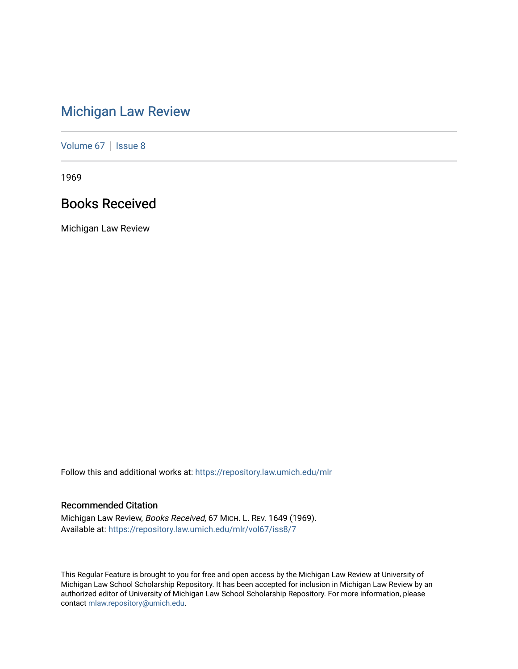# [Michigan Law Review](https://repository.law.umich.edu/mlr)

[Volume 67](https://repository.law.umich.edu/mlr/vol67) | [Issue 8](https://repository.law.umich.edu/mlr/vol67/iss8)

1969

# Books Received

Michigan Law Review

Follow this and additional works at: [https://repository.law.umich.edu/mlr](https://repository.law.umich.edu/mlr?utm_source=repository.law.umich.edu%2Fmlr%2Fvol67%2Fiss8%2F7&utm_medium=PDF&utm_campaign=PDFCoverPages) 

# Recommended Citation

Michigan Law Review, Books Received, 67 MICH. L. REV. 1649 (1969). Available at: [https://repository.law.umich.edu/mlr/vol67/iss8/7](https://repository.law.umich.edu/mlr/vol67/iss8/7?utm_source=repository.law.umich.edu%2Fmlr%2Fvol67%2Fiss8%2F7&utm_medium=PDF&utm_campaign=PDFCoverPages)

This Regular Feature is brought to you for free and open access by the Michigan Law Review at University of Michigan Law School Scholarship Repository. It has been accepted for inclusion in Michigan Law Review by an authorized editor of University of Michigan Law School Scholarship Repository. For more information, please contact [mlaw.repository@umich.edu](mailto:mlaw.repository@umich.edu).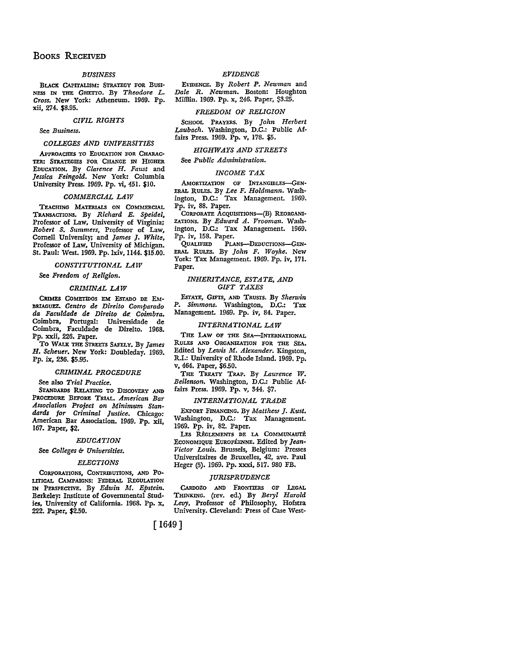# BOOKS RECEIVED

# *BUSINESS*

BLACK CAPITALISM: STRATEGY FOR Busr-NESS IN THE GHEITO. By *Theodore L. Cross.* New York: Atheneum. 1969. Pp. xii, 274. \$8.95.

### *CIVIL RIGHTS*

See *Business.* 

# *COLLEGES AND UNIVERSITIES*

APPROACHES TO EDUCATION FOR CHARAC· TER: STRATEGIES FOR CHANGE IN HIGHER EDUCATION. By *Clarence H. Faust* and *Jessica Feingold. New* York: Columbia University Press. 1969. Pp. vi, 451. \$10.

# *COMMERCIAL LAW*

TEACHING MATERIALS ON COMMERCIAL TRANSAcrIONS. By *Richard E. Speidel,*  Professor of Law, University of Virginia; *Robert S. Summers,* Professor of Law, Cornell University; and *James J. White,*  Professor of Law, University of Michigan. *St.* Paul: West. 1969. Pp. lxiv, 1144. \$15.00.

### *CONSTITUTIONAL LAW*

See *Freedom of Religion.* 

#### *CRIMINAL LAW*

CRIMES COMETIDOS EM EsTADO DE EM· BRIAGUEZ. *Centro de Direito Comparado da Faculdade de Direito de. Coimbra.*  Coimbra, Portugal: Universidade de Coimbra, Faculdade de Direito. 1968. Pp. xxii, 226. Paper.

To WALK THE STREETS SAFELY. By *James H. Scheuer.* New York: Doubleday. 1969. Pp. ix, 236. \$5.95.

#### *CRIMINAL PROCEDURE*

See also *Trial Practice.* 

STANDARDS RELATING TO DISCOVERY AND PROCEDURE BEFORE TRIAL. *American Bar Association Project on Minimum Standards for Criminal Justice.* Chicago: American Bar Association. 1969. Pp. xii, 167. Paper, \$2.

# *EDUCATION*

See *Colleges* & *Universities*.

#### *ELECTIONS*

CoRPORATIONS, CONTRIBUTIONS, AND PO-LITICAL CAMPAIGNS: FEDERAL REGULATION IN PERSPECTIVE. By *Edwin M. Epstein*. Berkeley: Institute of Governmental Studies, University of California. 1968. Pp. x, 222. Paper, \$2.50.

#### *EP!DENCE*

EVIDENCE. By *Robert P. Newman* and *Dale R. Newman.* Boston: Houghton Mifflin. 1969. Pp. x, 246. Paper, S3.25.

#### *FREEDOM OF RELIGION*

SCHOOL PRAYERS, By *John Herbert Laubach.* Washington, D.C.: Public Affairs Press. 1969. Pp. v, 178. \$5.

# *HIGHWAYS AND STREETS*

See *Public Administration.* 

# *INCOME TAX*

AMORTIZATION OF INTANGIBLES-GEN-ERAL RULES. By *Lee F. Holdmann.* Wash• ington, D.C.: Tax Management. 1969. Pp. iv, 88. Paper.

CORPORATE ACQUISITIONS-(B) REORGANI-ZATIONs. By *Edward A. Vrooman.* Washington, D.C.: Tax Management. 1969. Pp. iv, 158. Paper.<br>OUALIFIED PLA

PLANS-DEDUCTIONS-GEN-ERAL RuLES. By *John F. Woyke.* New York: Tax Management. 1969. Pp. iv, 171. Paper.

# *INHERITANCE, ESTATE, AND GIFT TAXES*

EsTATE, GIFrs, AND TRusrs. By *Sherwin*  P. Simmons. Washington, D.C.: Tax Management. 1969. Pp. iv, 84. Paper.

#### *INTERNATIONAL LAW*

THE LAW OF THE SEA-INTERNATIONAL RULES AND ORGANIZATION FOR THE SEA, Edited by *Lewis M. Alexander.* Kingston, R.I.: University of Rhode Island. 1969. Pp. v, 464. Paper, \$6.50.

THE TREATY TRAP. By *Laurence W. Beilenson.* Washington, D.C.: Public Affairs Press. 1969. Pp. v, 344. \$7.

# *INTERNATIONAL TRADE*

ExPORT FINANCING. By *Matthew J. Kust.*  Washington, D.C.: Tax Management. 1969. Pp. iv, 82, Paper.

LES RÈGLEMENTS DE LA COMMUNAUTÉ ECONOMIQUE EUROPÉENNE. Edited by *Jean-Victor Louis.* Brussels, Belgium: Presses Universitaires de Bruxelles, 42, ave. Paul Heger (5). 1969. Pp. xxxi, 517. 980 FB.

#### *JURISPRUDENCE*

CARDOZO AND FRONTIERS OF LEGAL THINKING. (rev. ed.) By *Beryl Harold Levy,* Professor of Philosophy, Hofstra University. Cleveland: Press of Case West-

[ 1649]